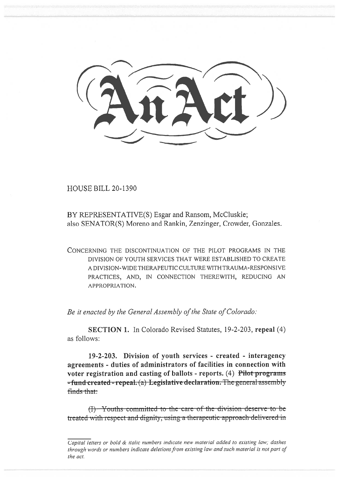HOUSE BILL 20-1390

BY REPRESENTATIVE(S) Esgar and Ransom, McCluskie; also SENATOR(S) Moreno and Rankin, Zenzinger, Crowder, Gonzales.

CONCERNING THE DISCONTINUATION OF THE PILOT PROGRAMS IN THE DIVISION OF YOUTH SERVICES THAT WERE ESTABLISHED TO CREATE A DIVISION-WIDE THERAPEUTIC CULTURE WITH TRAUMA-RESPONSIVE PRACTICES, AND, IN CONNECTION THEREWITH, REDUCING AN APPROPRIATION.

*Be it enacted by the General Assembly of the State of Colorado:* 

**SECTION 1.** In Colorado Revised Statutes, 19-2-203, **repeal** (4) as follows:

**19-2-203. Division of youth services - created - interagency agreements - duties of administrators of facilities in connection with voter registration and casting of ballots - reports.** (4) P**ilot progranib -fund created - repeal.** (a) Legislative declaration. The general assembly finds that:

 $(1)$  Youths-committed to the care of the division deserve to betreated with respect and dignity, using a therapeutic approach delivered in

*Capital letters or bold & italic numbers indicate new material added to existing law; dashes through words or numbers indicate deletions from existing law and such material is not part of the act.*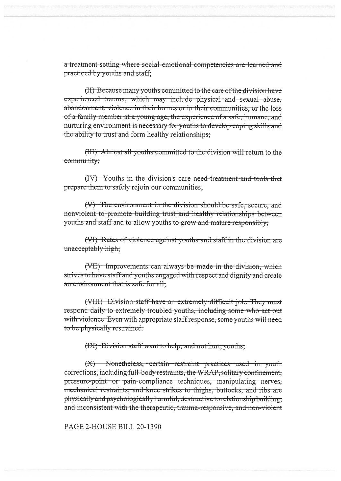a treatment setting where social-emotional competencies are learned and practiced by youths and staff;

(II) Because many youths committed to the care of the division have experienced trauma, which may include physical and sexual abuse, abandonment, violence in their homes or in their communities, or the loss of a family member at a young age, the experience of a safe, humane, and nurturing environment is necessary for youths to develop coping skills and the ability to trust and form healthy relationships:

(III) Almost all youths committed to the division will return to the community;

(IV) Youths in the division's care need treatment and tools that prepare them to safely rejoin our communities;

(V) The environment in the division should be safe, secure, and nonviolent to promote building trust and healthy relationships between youths and staff and to allow youths to grow and mature responsibly;

(VI) Rates of violence against youths and staff in the division are unacceptably high;

(VII) Improvements can always be made in the division, which strives to have staff and youths engaged with respect and dignity and create an environment that is safe for all;

(VIII) Division staff have an extremely difficult job. They must respond daily to extremely troubled youths, including some who act out with violence. Even with appropriate staff response, some youths will need to be physically restrained.

(IX) Division staff want to help, and not hurt, youths;

 $(X)$  Nonetheless, certain restraint practices used in youth corrections, including full-body restraints, the WRAP, solitary confinement, pressure-point or pain-compliance techniques, manipulating nerves, mechanical restraints, and knee strikes to thighs, buttocks, and ribs are physically and psychologically harmful, destructive to relationship building, and inconsistent with the therapeutic, trauma-responsive, and non-violent

PAGE 2-HOUSE BILL 20-1390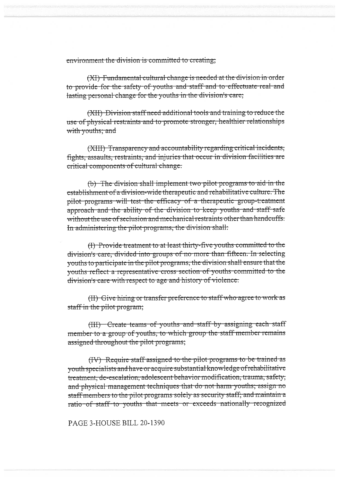environment the division is committed to creating;

(XI) Fundamental cultural change is needed at the division in order to provide for the safety of youths and staff and to effectuate real and lasting personal change for the youths in the division's care;

(XII) Division staff need additional tools and training to reduce the use of physical restraints and to promote stronger, healthier relationships with youths; and

(XIII) Transparency and accountability regarding critical incidents, fights, assaults, restraints, and injuries that occur in division facilities are critical components of cultural change.

(b) The division shall implement two pilot programs to aid in the establishment of a division-wide therapeutic and rehabilitative culture. The pilot programs will test the efficacy of a therapeutic group-treatment approach and the ability of the division to keep youths and staff safe without the use of seclusion and mechanical restraints other than handcuffs. In administering the pilot programs, the division shall:

(I) Provide treatment to at least thirty-five youths committed to the division's care, divided into groups of no more than fifteen. In selecting youths to participate in the pilot programs, the division shall ensure that the vouths reflect a representative cross section of youths committed to the division's care with respect to age and history of violence.

(II) Give hiring or transfer preference to staff who agree to work as staff in the pilot program;

(III) Create teams of youths and staff by assigning each staff member to a group of youths, to which group the staff member remains assigned throughout the pilot programs;

(IV) Require staff assigned to the pilot programs to be trained as youth specialists and have or acquire substantial knowledge of rehabilitative treatment, de-escalation, adolescent behavior modification, trauma, safety, and physical management techniques that do not harm youths; assign no staff members to the pilot programs solely as security staff; and maintain a ratio of staff to youths that meets or exceeds nationally recognized

PAGE 3-HOUSE BILL 20-1390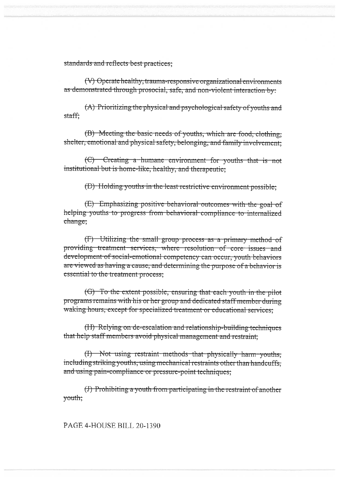standards and reflects best practices;

(V) Operate healthy, trauma-responsive organizational environments as demonstrated through prosocial, safe, and non-violent interaction by:

(A) Prioritizing the physical and psychological safety of youths and staff:

(B) Meeting the basic needs of youths, which are food, clothing; shelter, emotional and physical safety, belonging, and family involvement.

(C) Creating a humane environment for youths that is not institutional but is home-like, healthy, and therapeutie:

(D) Holding youths in the least restrictive environment possible:

(E) Emphasizing positive behavioral outcomes with the goal of helping youths to progress from behavioral compliance to internalized change;

 $(F)$  Utilizing the small group process as a primary method of providing treatment services, where resolution of core issues and development of social-emotional competency can occur, youth behaviors are viewed as having a cause, and determining the purpose of a behavior is essential to the treatment process;

(G) To the extent possible, ensuring that each youth in the pilot programs remains with his or her group and dedicated staff member during waking hours, except for specialized treatment or educational services;

(H) Relying on de-escalation and relationship-building techniques that help staff members avoid physical management and restraint;

(I) Not using restraint methods that physically harm youths, including striking youths, using mechanical restraints other than handcuffs, and using pain-compliance or pressure-point techniques;

(J) Prohibiting a youth from participating in the restraint of another vouth:

PAGE 4-HOUSE BILL 20-1390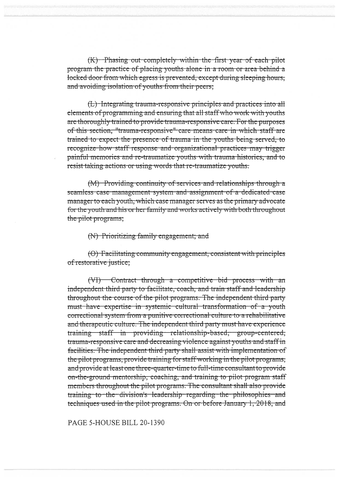(K) Phasing out completely within the first year of each pilot program the practice of placing youths alone in a room or area behind a locked door from which egress is prevented, except during sleeping hours, and avoiding isolation of youths from their peers;

(L) Integrating trauma-responsive principles and practices into all elements of programming and ensuring that all staff who work with youths are thoroughly trained to provide trauma-responsive care. For the purposes of this section, "trauma-responsive" care means care in which staff are trained to expect the presence of trauma in the youths being served, to recognize how staff response and organizational practices may trigger painful memories and re-traumatize youths with trauma histories, and to resist taking actions or using words that re-traumatize youths.

(M) Providing continuity of services and relationships through a seamless case management system and assignment of a dedicated case manager to each youth, which case manager serves as the primary advocate for the youth and his or her family and works actively with both throughout the pilot programs;

## (N) Prioritizing family engagement; and

(O) Facilitating community engagement, consistent with principles of restorative justice;

(VI) Contract through a competitive bid process with an independent third party to facilitate, coach, and train staff and leadership throughout the course of the pilot programs. The independent third party must have expertise in systemic cultural transformation of a youth correctional system from a punitive correctional culture to a rehabilitative and therapeutic culture. The independent third party must have experience training staff in providing relationship-based, group-centered, trauma-responsive care and decreasing violence against youths and staff in facilities. The independent third party shall assist with implementation of the pilot programs, provide training for staff working in the pilot programs, and provide at least one three-quarter-time to full-time consultant to provide on-the-ground mentorship, coaching, and training to pilot program staff members throughout the pilot programs. The consultant shall also provide training to the division's leadership regarding the philosophies and techniques used in the pilot programs. On or before January 1, 2018, and

PAGE 5-HOUSE BILL 20-1390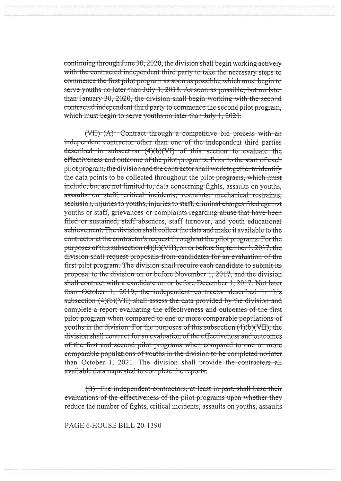continuing through June 30, 2020, the division shall begin working actively with the contracted independent third party to take the necessary steps to commence the first pilot program as soon as possible, which must begin to serve youths no later than July 1, 2018. As soon as possible, but no later than January 30, 2020, the division shall begin working with the second contracted independent third party to commence the second pilot program. which must begin to serve youths no later than July 1, 2020.

 $(VII)$   $(A)$  - Contract through a competitive bid process with an independent contractor other than one of the independent third parties described in subsection  $(4)(b)(VI)$  of this section to evaluate the effectiveness and outcome of the pilot programs. Prior to the start of each pilot program, the division and the contractor shall work together to identify the data points to be collected throughout the pilot programs, which must include, but are not limited to, data concerning fights, assaults on vouths. assaults on staff, critical incidents, restraints, mechanical restraints, seclusion, injuries to youths, injuries to staff, criminal charges filed against youths or staff, grievances or complaints regarding abuse that have been filed or sustained, staff absences, staff turnover, and youth educational achievement. The division shall collect the data and make it available to the contractor at the contractor's request throughout the pilot programs. For the purposes of this subsection (4)(b)(VII), on or before September 1, 2017, the division shall request proposals from candidates for an evaluation of the first pilot program. The division shall require each candidate to submit its proposal to the division on or before November 1, 2017, and the division shall contract with a candidate on or before December 1, 2017. Not later than October 1, 2019, the independent contractor described in this subsection (4)(b)(VII) shall assess the data provided by the division and complete a report evaluating the effectiveness and outcomes of the first pilot program when compared to one or more comparable populations of youths in the division. For the purposes of this subsection  $(4)(b)(VII)$ , the division shall contract for an evaluation of the effectiveness and outcomes of the first and second pilot programs when compared to one or more comparable populations of youths in the division to be completed no later than October 1, 2021. The division shall provide the contractors all available data requested to complete the reports:

(B) The independent contractors, at least in part, shall base their evaluations of the effectiveness of the pilot programs upon whether they reduce the number of fights, critical incidents, assaults on youths, assaults

PAGE 6-HOUSE BILL 20-1390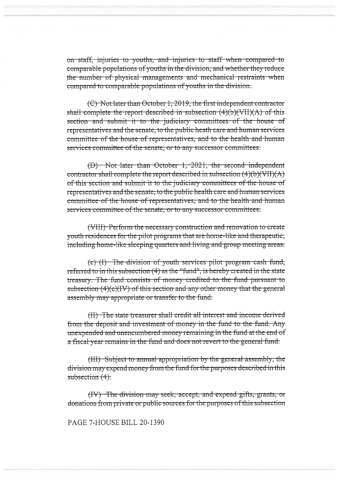on staff, injuries to youths, and injuries to staff when compared to comparable populations of youths in the division, and whether they reduce the number of physical managements and mechanical restraints when compared to comparable populations of youths in the division.

(C) Not later than October 1, 2019, the first independent contractor shall complete the report described in subsection  $(4)(b)(VII)(A)$  of this section and submit it to the judiciary committees of the house of representatives and the senate, to the public heath care and human services committee of the house of representatives, and to the health and human services committee of the senate, or to any successor committees.

(D) Not later than October 1, 2021, the second independent contractor shall complete the report described in subsection  $(4)(b)(VII)(A)$ of this section and submit it to the judiciary committees of the house of representatives and the senate, to the public health care and human services committee of the house of representatives, and to the health and human services committee of the senate, or to any successor committees.

(VIII) Perform the necessary construction and renovation to create youth residences for the pilot programs that are home-like and therapeutic, including home-like sleeping quarters and living and group meeting areas.

 $(c)$  (I) The division of youth services pilot program cash fund, referred to in this subsection (4) as the "fund", is hereby created in the state treasury. The fund consists of money credited to the fund pursuant to subsection (4)(c)(IV) of this section and any other money that the general assembly may appropriate or transfer to the fund.

(II) The state treasurer shall credit all interest and income derived from the deposit and investment of money in the fund to the fund. Any unexpended and unencumbered money remaining in the fund at the end of a fiscal year remains in the fund and does not revert to the general fund.

(III) Subject to annual appropriation by the general assembly, the division may expend money from the fund for the purposes described in this subsection  $(4)$ .

(IV) The division may seek, accept, and expend gifts, grants, or donations from private or public sources for the purposes of this subsection

PAGE 7-HOUSE BILL 20-1390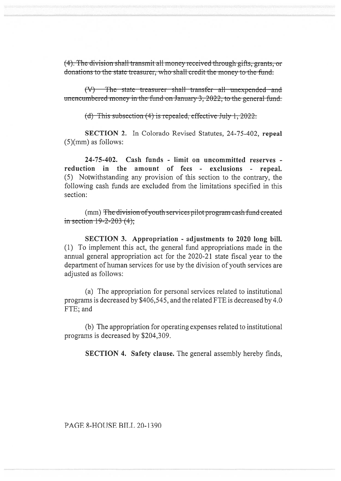(4). The division shall transmit all money received through gifts, grants, or donations to the state treasurer, who shall credit the money to the fund.

(V) The state treasurer shall transfer all unexpended and unencumbered money in the fund on January 3, 2022, to the general fund.

(d) This subsection  $(4)$  is repealed, effective July 1, 2022.

**SECTION 2.** In Colorado Revised Statutes, 24-75-402, repeal  $(5)(mm)$  as follows:

24-75-402. Cash funds - limit on uncommitted reserves reduction in the amount of fees - exclusions - repeal. (5) Notwithstanding any provision of this section to the contrary, the following cash funds are excluded from the limitations specified in this section:

(mm) The division of youth services pilot program cash fund created in section  $19 - 2 - 203$  (4);

SECTION 3. Appropriation - adjustments to 2020 long bill. (1) To implement this act, the general fund appropriations made in the annual general appropriation act for the 2020-21 state fiscal year to the department of human services for use by the division of youth services are adjusted as follows:

(a) The appropriation for personal services related to institutional programs is decreased by \$406,545, and the related FTE is decreased by 4.0 FTE; and

(b) The appropriation for operating expenses related to institutional programs is decreased by \$204,309.

**SECTION 4. Safety clause.** The general assembly hereby finds,